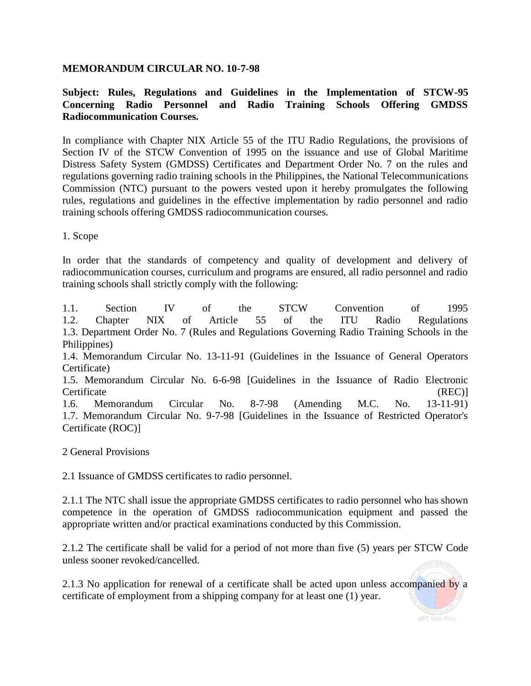### **MEMORANDUM CIRCULAR NO. 10-7-98**

# **Subject: Rules, Regulations and Guidelines in the Implementation of STCW-95 Concerning Radio Personnel and Radio Training Schools Offering GMDSS Radiocommunication Courses.**

In compliance with Chapter NIX Article 55 of the ITU Radio Regulations, the provisions of Section IV of the STCW Convention of 1995 on the issuance and use of Global Maritime Distress Safety System (GMDSS) Certificates and Department Order No. 7 on the rules and regulations governing radio training schools in the Philippines, the National Telecommunications Commission (NTC) pursuant to the powers vested upon it hereby promulgates the following rules, regulations and guidelines in the effective implementation by radio personnel and radio training schools offering GMDSS radiocommunication courses.

1. Scope

In order that the standards of competency and quality of development and delivery of radiocommunication courses, curriculum and programs are ensured, all radio personnel and radio training schools shall strictly comply with the following:

1.1. Section IV of the STCW Convention of 1995 1.2. Chapter NIX of Article 55 of the ITU Radio Regulations 1.3. Department Order No. 7 (Rules and Regulations Governing Radio Training Schools in the Philippines)

1.4. Memorandum Circular No. 13-11-91 (Guidelines in the Issuance of General Operators Certificate)

1.5. Memorandum Circular No. 6-6-98 [Guidelines in the Issuance of Radio Electronic Certificate (REC)

1.6. Memorandum Circular No. 8-7-98 (Amending M.C. No. 13-11-91) 1.7. Memorandum Circular No. 9-7-98 [Guidelines in the Issuance of Restricted Operator's Certificate (ROC)]

2 General Provisions

2.1 Issuance of GMDSS certificates to radio personnel.

2.1.1 The NTC shall issue the appropriate GMDSS certificates to radio personnel who has shown competence in the operation of GMDSS radiocommunication equipment and passed the appropriate written and/or practical examinations conducted by this Commission.

2.1.2 The certificate shall be valid for a period of not more than five (5) years per STCW Code unless sooner revoked/cancelled.

2.1.3 No application for renewal of a certificate shall be acted upon unless accompanied by a certificate of employment from a shipping company for at least one (1) year.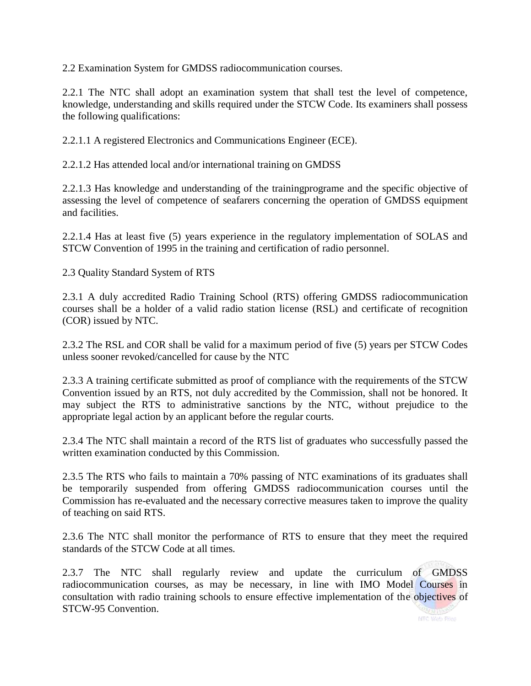2.2 Examination System for GMDSS radiocommunication courses.

2.2.1 The NTC shall adopt an examination system that shall test the level of competence, knowledge, understanding and skills required under the STCW Code. Its examiners shall possess the following qualifications:

2.2.1.1 A registered Electronics and Communications Engineer (ECE).

2.2.1.2 Has attended local and/or international training on GMDSS

2.2.1.3 Has knowledge and understanding of the trainingprograme and the specific objective of assessing the level of competence of seafarers concerning the operation of GMDSS equipment and facilities.

2.2.1.4 Has at least five (5) years experience in the regulatory implementation of SOLAS and STCW Convention of 1995 in the training and certification of radio personnel.

2.3 Quality Standard System of RTS

2.3.1 A duly accredited Radio Training School (RTS) offering GMDSS radiocommunication courses shall be a holder of a valid radio station license (RSL) and certificate of recognition (COR) issued by NTC.

2.3.2 The RSL and COR shall be valid for a maximum period of five (5) years per STCW Codes unless sooner revoked/cancelled for cause by the NTC

2.3.3 A training certificate submitted as proof of compliance with the requirements of the STCW Convention issued by an RTS, not duly accredited by the Commission, shall not be honored. It may subject the RTS to administrative sanctions by the NTC, without prejudice to the appropriate legal action by an applicant before the regular courts.

2.3.4 The NTC shall maintain a record of the RTS list of graduates who successfully passed the written examination conducted by this Commission.

2.3.5 The RTS who fails to maintain a 70% passing of NTC examinations of its graduates shall be temporarily suspended from offering GMDSS radiocommunication courses until the Commission has re-evaluated and the necessary corrective measures taken to improve the quality of teaching on said RTS.

2.3.6 The NTC shall monitor the performance of RTS to ensure that they meet the required standards of the STCW Code at all times.

2.3.7 The NTC shall regularly review and update the curriculum of GMDSS radiocommunication courses, as may be necessary, in line with IMO Model Courses in consultation with radio training schools to ensure effective implementation of the objectives of STCW-95 Convention.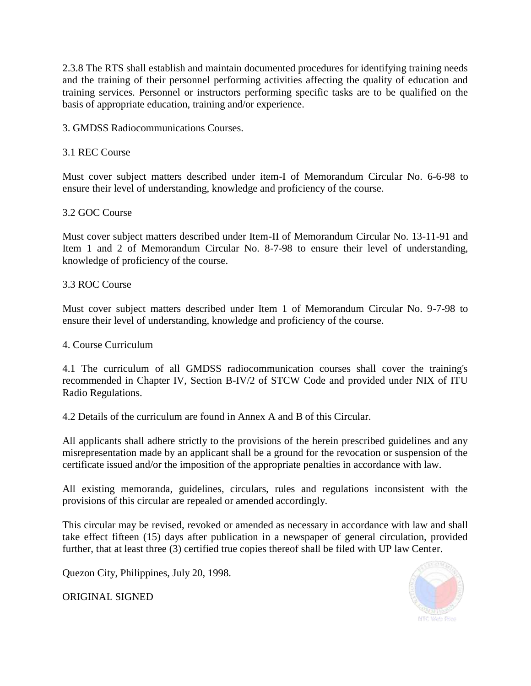2.3.8 The RTS shall establish and maintain documented procedures for identifying training needs and the training of their personnel performing activities affecting the quality of education and training services. Personnel or instructors performing specific tasks are to be qualified on the basis of appropriate education, training and/or experience.

3. GMDSS Radiocommunications Courses.

## 3.1 REC Course

Must cover subject matters described under item-I of Memorandum Circular No. 6-6-98 to ensure their level of understanding, knowledge and proficiency of the course.

### 3.2 GOC Course

Must cover subject matters described under Item-II of Memorandum Circular No. 13-11-91 and Item 1 and 2 of Memorandum Circular No. 8-7-98 to ensure their level of understanding, knowledge of proficiency of the course.

### 3.3 ROC Course

Must cover subject matters described under Item 1 of Memorandum Circular No. 9-7-98 to ensure their level of understanding, knowledge and proficiency of the course.

### 4. Course Curriculum

4.1 The curriculum of all GMDSS radiocommunication courses shall cover the training's recommended in Chapter IV, Section B-IV/2 of STCW Code and provided under NIX of ITU Radio Regulations.

4.2 Details of the curriculum are found in Annex A and B of this Circular.

All applicants shall adhere strictly to the provisions of the herein prescribed guidelines and any misrepresentation made by an applicant shall be a ground for the revocation or suspension of the certificate issued and/or the imposition of the appropriate penalties in accordance with law.

All existing memoranda, guidelines, circulars, rules and regulations inconsistent with the provisions of this circular are repealed or amended accordingly.

This circular may be revised, revoked or amended as necessary in accordance with law and shall take effect fifteen (15) days after publication in a newspaper of general circulation, provided further, that at least three (3) certified true copies thereof shall be filed with UP law Center.

Quezon City, Philippines, July 20, 1998.

ORIGINAL SIGNED